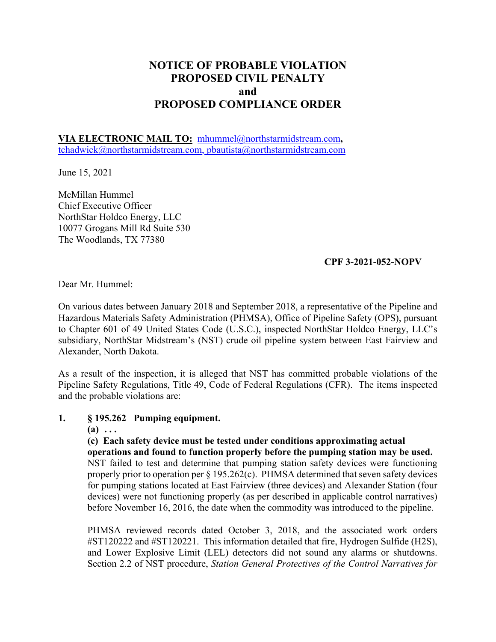# **NOTICE OF PROBABLE VIOLATION PROPOSED CIVIL PENALTY and PROPOSED COMPLIANCE ORDER**

**VIA ELECTRONIC MAIL TO:** [mhummel@northstarmidstream.com](mailto:mhummel@northstarmidstream.com)**,**  [tchadwick@northstarmidstream.com](mailto:tchadwick@northstarmidstream.com), [pbautista@northstarmidstream.com](mailto:pbautista@northstarmidstream.com) 

June 15, 2021

McMillan Hummel Chief Executive Officer NorthStar Holdco Energy, LLC 10077 Grogans Mill Rd Suite 530 The Woodlands, TX 77380

#### **CPF 3-2021-052-NOPV**

Dear Mr. Hummel:

On various dates between January 2018 and September 2018, a representative of the Pipeline and Hazardous Materials Safety Administration (PHMSA), Office of Pipeline Safety (OPS), pursuant to Chapter 601 of 49 United States Code (U.S.C.), inspected NorthStar Holdco Energy, LLC's subsidiary, NorthStar Midstream's (NST) crude oil pipeline system between East Fairview and Alexander, North Dakota.

As a result of the inspection, it is alleged that NST has committed probable violations of the Pipeline Safety Regulations, Title 49, Code of Federal Regulations (CFR). The items inspected and the probable violations are:

#### **1. § 195.262 Pumping equipment.**

**(a) . . .** 

**(c) Each safety device must be tested under conditions approximating actual operations and found to function properly before the pumping station may be used.**  NST failed to test and determine that pumping station safety devices were functioning properly prior to operation per § 195.262(c). PHMSA determined that seven safety devices for pumping stations located at East Fairview (three devices) and Alexander Station (four devices) were not functioning properly (as per described in applicable control narratives) before November 16, 2016, the date when the commodity was introduced to the pipeline.

PHMSA reviewed records dated October 3, 2018, and the associated work orders #ST120222 and #ST120221. This information detailed that fire, Hydrogen Sulfide (H2S), and Lower Explosive Limit (LEL) detectors did not sound any alarms or shutdowns. Section 2.2 of NST procedure, *Station General Protectives of the Control Narratives for*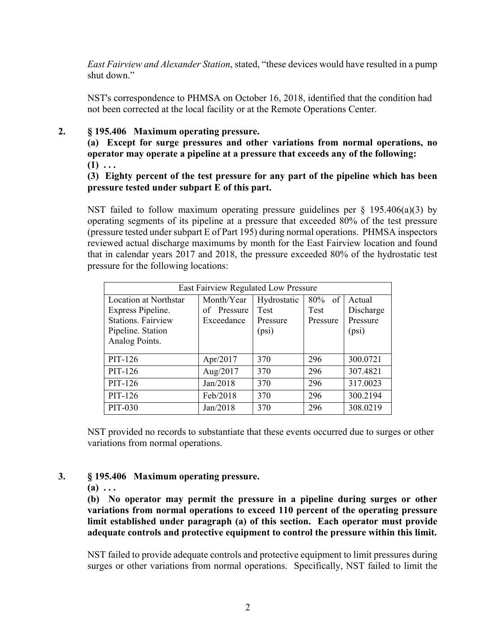*East Fairview and Alexander Station*, stated, "these devices would have resulted in a pump shut down."

NST's correspondence to PHMSA on October 16, 2018, identified that the condition had not been corrected at the local facility or at the Remote Operations Center.

#### **2. § 195.406 Maximum operating pressure.**

**(a) Except for surge pressures and other variations from normal operations, no operator may operate a pipeline at a pressure that exceeds any of the following:** 

 $(1) \ldots$ 

**(3) Eighty percent of the test pressure for any part of the pipeline which has been pressure tested under subpart E of this part.** 

NST failed to follow maximum operating pressure guidelines per  $\S$  195.406(a)(3) by operating segments of its pipeline at a pressure that exceeded 80% of the test pressure (pressure tested under subpart E of Part 195) during normal operations. PHMSA inspectors reviewed actual discharge maximums by month for the East Fairview location and found that in calendar years 2017 and 2018, the pressure exceeded 80% of the hydrostatic test pressure for the following locations:

| East Fairview Regulated Low Pressure |                |             |           |           |  |
|--------------------------------------|----------------|-------------|-----------|-----------|--|
| <b>Location at Northstar</b>         | Month/Year     | Hydrostatic | $80\%$ of | Actual    |  |
| Express Pipeline.                    | Pressure<br>of | <b>Test</b> | Test      | Discharge |  |
| <b>Stations. Fairview</b>            | Exceedance     | Pressure    | Pressure  | Pressure  |  |
| Pipeline. Station                    |                | (psi)       |           | (psi)     |  |
| Analog Points.                       |                |             |           |           |  |
|                                      |                |             |           |           |  |
| PIT-126                              | Apr/2017       | 370         | 296       | 300.0721  |  |
| PIT-126                              | Aug/2017       | 370         | 296       | 307.4821  |  |
| PIT-126                              | Jan/2018       | 370         | 296       | 317.0023  |  |
| PIT-126                              | Feb/2018       | 370         | 296       | 300.2194  |  |
| PIT-030                              | Jan/2018       | 370         | 296       | 308.0219  |  |

NST provided no records to substantiate that these events occurred due to surges or other variations from normal operations.

## **3. § 195.406 Maximum operating pressure.**

 $(a) \ldots$ 

**(b) No operator may permit the pressure in a pipeline during surges or other variations from normal operations to exceed 110 percent of the operating pressure limit established under paragraph (a) of this section. Each operator must provide adequate controls and protective equipment to control the pressure within this limit.** 

NST failed to provide adequate controls and protective equipment to limit pressures during surges or other variations from normal operations. Specifically, NST failed to limit the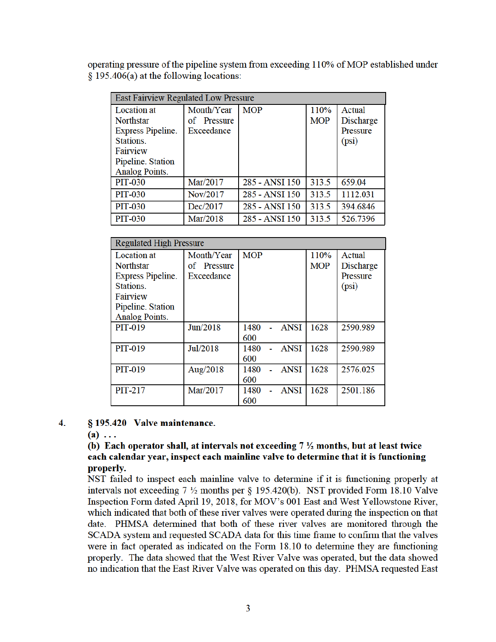operating pressure of the pipeline system from exceeding 110% of MOP established under § 195.406(a) at the following locations:

| East Fairview Regulated Low Pressure |                |                |            |           |
|--------------------------------------|----------------|----------------|------------|-----------|
| Location at                          | Month/Year     | <b>MOP</b>     | 110%       | Actual    |
| <b>Northstar</b>                     | Pressure<br>of |                | <b>MOP</b> | Discharge |
| <b>Express Pipeline.</b>             | Exceedance     |                |            | Pressure  |
| Stations.                            |                |                |            | (psi)     |
| Fairview                             |                |                |            |           |
| Pipeline. Station                    |                |                |            |           |
| <b>Analog Points.</b>                |                |                |            |           |
| <b>PIT-030</b>                       | Mar/2017       | 285 - ANSI 150 | 313.5      | 659.04    |
| <b>PIT-030</b>                       | Nov/2017       | 285 - ANSI 150 | 313.5      | 1112.031  |
| <b>PIT-030</b>                       | Dec/2017       | 285 - ANSI 150 | 313.5      | 394.6846  |
| <b>PIT-030</b>                       | Mar/2018       | 285 - ANSI 150 | 313.5      | 526.7396  |

| <b>Regulated High Pressure</b> |             |                     |            |           |
|--------------------------------|-------------|---------------------|------------|-----------|
| <b>Location</b> at             | Month/Year  | <b>MOP</b>          | 110%       | Actual    |
| <b>Northstar</b>               | of Pressure |                     | <b>MOP</b> | Discharge |
| <b>Express Pipeline.</b>       | Exceedance  |                     |            | Pressure  |
| Stations.                      |             |                     |            | (psi)     |
| Fairview                       |             |                     |            |           |
| Pipeline. Station              |             |                     |            |           |
| <b>Analog Points.</b>          |             |                     |            |           |
| <b>PIT-019</b>                 | Jun/2018    | 1480<br>ANSI        | 1628       | 2590.989  |
|                                |             | 600                 |            |           |
| <b>PIT-019</b>                 | Jul/2018    | <b>ANSI</b><br>1480 | 1628       | 2590.989  |
|                                |             | 600                 |            |           |
| <b>PIT-019</b>                 | Aug/2018    | 1480<br><b>ANSI</b> | 1628       | 2576.025  |
|                                |             | 600                 |            |           |
| <b>PIT-217</b>                 | Mar/2017    | 1480<br>ANSI        | 1628       | 2501.186  |
|                                |             | 600                 |            |           |

#### 4. § 195.420 Valve maintenance.

 $(a) \ldots$ 

#### (b) Each operator shall, at intervals not exceeding  $7\frac{1}{2}$  months, but at least twice each calendar year, inspect each mainline valve to determine that it is functioning properly.

NST failed to inspect each mainline valve to determine if it is functioning properly at intervals not exceeding  $7\frac{1}{2}$  months per § 195.420(b). NST provided Form 18.10 Valve Inspection Form dated April 19, 2018, for MOV's 001 East and West Yellowstone River, which indicated that both of these river valves were operated during the inspection on that date. PHMSA determined that both of these river valves are monitored through the SCADA system and requested SCADA data for this time frame to confirm that the valves were in fact operated as indicated on the Form 18.10 to determine they are functioning properly. The data showed that the West River Valve was operated, but the data showed no indication that the East River Valve was operated on this day. PHMSA requested East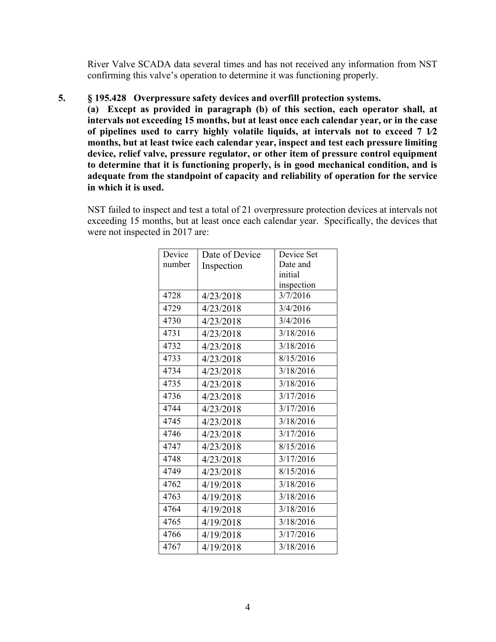River Valve SCADA data several times and has not received any information from NST confirming this valve's operation to determine it was functioning properly.

#### **5. § 195.428 Overpressure safety devices and overfill protection systems.**

**(a) Except as provided in paragraph (b) of this section, each operator shall, at intervals not exceeding 15 months, but at least once each calendar year, or in the case of pipelines used to carry highly volatile liquids, at intervals not to exceed 7 1∕2 months, but at least twice each calendar year, inspect and test each pressure limiting device, relief valve, pressure regulator, or other item of pressure control equipment to determine that it is functioning properly, is in good mechanical condition, and is adequate from the standpoint of capacity and reliability of operation for the service in which it is used.** 

NST failed to inspect and test a total of 21 overpressure protection devices at intervals not exceeding 15 months, but at least once each calendar year. Specifically, the devices that were not inspected in 2017 are:

| Device | Date of Device | Device Set |  |
|--------|----------------|------------|--|
| number | Inspection     | Date and   |  |
|        |                | initial    |  |
|        |                | inspection |  |
| 4728   | 4/23/2018      | 3/7/2016   |  |
| 4729   | 4/23/2018      | 3/4/2016   |  |
| 4730   | 4/23/2018      | 3/4/2016   |  |
| 4731   | 4/23/2018      | 3/18/2016  |  |
| 4732   | 4/23/2018      | 3/18/2016  |  |
| 4733   | 4/23/2018      | 8/15/2016  |  |
| 4734   | 4/23/2018      | 3/18/2016  |  |
| 4735   | 4/23/2018      | 3/18/2016  |  |
| 4736   | 4/23/2018      | 3/17/2016  |  |
| 4744   | 4/23/2018      | 3/17/2016  |  |
| 4745   | 4/23/2018      | 3/18/2016  |  |
| 4746   | 4/23/2018      | 3/17/2016  |  |
| 4747   | 4/23/2018      | 8/15/2016  |  |
| 4748   | 4/23/2018      | 3/17/2016  |  |
| 4749   | 4/23/2018      | 8/15/2016  |  |
| 4762   | 4/19/2018      | 3/18/2016  |  |
| 4763   | 4/19/2018      | 3/18/2016  |  |
| 4764   | 4/19/2018      | 3/18/2016  |  |
| 4765   | 4/19/2018      | 3/18/2016  |  |
| 4766   | 4/19/2018      | 3/17/2016  |  |
| 4767   | 4/19/2018      | 3/18/2016  |  |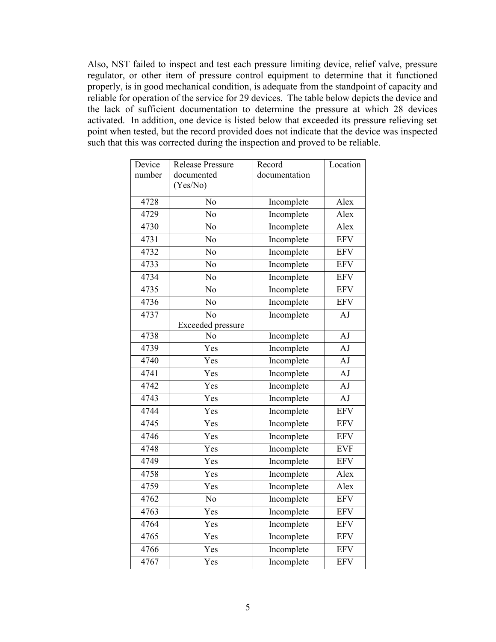Also, NST failed to inspect and test each pressure limiting device, relief valve, pressure regulator, or other item of pressure control equipment to determine that it functioned properly, is in good mechanical condition, is adequate from the standpoint of capacity and reliable for operation of the service for 29 devices. The table below depicts the device and the lack of sufficient documentation to determine the pressure at which 28 devices activated. In addition, one device is listed below that exceeded its pressure relieving set point when tested, but the record provided does not indicate that the device was inspected such that this was corrected during the inspection and proved to be reliable.

| Device | <b>Release Pressure</b>  | Record        | Location   |
|--------|--------------------------|---------------|------------|
| number | documented               | documentation |            |
|        | (Yes/No)                 |               |            |
| 4728   | No                       | Incomplete    | Alex       |
| 4729   | No                       | Incomplete    | Alex       |
| 4730   | N <sub>o</sub>           | Incomplete    | Alex       |
| 4731   | N <sub>o</sub>           | Incomplete    | <b>EFV</b> |
| 4732   | No                       | Incomplete    | <b>EFV</b> |
| 4733   | No                       | Incomplete    | <b>EFV</b> |
| 4734   | $\overline{No}$          | Incomplete    | <b>EFV</b> |
| 4735   | No                       | Incomplete    | <b>EFV</b> |
| 4736   | No                       | Incomplete    | <b>EFV</b> |
| 4737   | No                       | Incomplete    | AJ         |
|        | <b>Exceeded</b> pressure |               |            |
| 4738   | No                       | Incomplete    | AJ         |
| 4739   | Yes                      | Incomplete    | AJ         |
| 4740   | Yes                      | Incomplete    | AJ         |
| 4741   | Yes                      | Incomplete    | AJ         |
| 4742   | Yes                      | Incomplete    | AJ         |
| 4743   | Yes                      | Incomplete    | AJ         |
| 4744   | Yes                      | Incomplete    | <b>EFV</b> |
| 4745   | Yes                      | Incomplete    | <b>EFV</b> |
| 4746   | Yes                      | Incomplete    | <b>EFV</b> |
| 4748   | Yes                      | Incomplete    | <b>EVF</b> |
| 4749   | Yes                      | Incomplete    | <b>EFV</b> |
| 4758   | Yes                      | Incomplete    | Alex       |
| 4759   | Yes                      | Incomplete    | Alex       |
| 4762   | N <sub>o</sub>           | Incomplete    | <b>EFV</b> |
| 4763   | Yes                      | Incomplete    | <b>EFV</b> |
| 4764   | Yes                      | Incomplete    | <b>EFV</b> |
| 4765   | Yes                      | Incomplete    | <b>EFV</b> |
| 4766   | Yes                      | Incomplete    | <b>EFV</b> |
| 4767   | Yes                      | Incomplete    | <b>EFV</b> |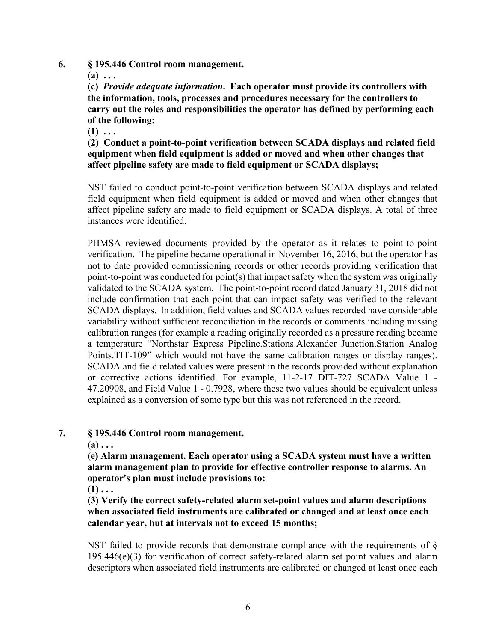- **6. § 195.446 Control room management.** 
	- $(a) \ldots$

**(c)** *Provide adequate information***. Each operator must provide its controllers with the information, tools, processes and procedures necessary for the controllers to carry out the roles and responsibilities the operator has defined by performing each of the following:** 

 $(1)$  ...

**(2) Conduct a point-to-point verification between SCADA displays and related field equipment when field equipment is added or moved and when other changes that affect pipeline safety are made to field equipment or SCADA displays;** 

NST failed to conduct point-to-point verification between SCADA displays and related field equipment when field equipment is added or moved and when other changes that affect pipeline safety are made to field equipment or SCADA displays. A total of three instances were identified.

PHMSA reviewed documents provided by the operator as it relates to point-to-point verification. The pipeline became operational in November 16, 2016, but the operator has not to date provided commissioning records or other records providing verification that point-to-point was conducted for point(s) that impact safety when the system was originally validated to the SCADA system. The point-to-point record dated January 31, 2018 did not include confirmation that each point that can impact safety was verified to the relevant SCADA displays. In addition, field values and SCADA values recorded have considerable variability without sufficient reconciliation in the records or comments including missing calibration ranges (for example a reading originally recorded as a pressure reading became a temperature "Northstar Express Pipeline.Stations.Alexander Junction.Station Analog Points.TIT-109" which would not have the same calibration ranges or display ranges). SCADA and field related values were present in the records provided without explanation or corrective actions identified. For example, 11-2-17 DIT-727 SCADA Value 1 - 47.20908, and Field Value 1 - 0.7928, where these two values should be equivalent unless explained as a conversion of some type but this was not referenced in the record.

## **7. § 195.446 Control room management.**

**(a) . . .** 

**(e) Alarm management. Each operator using a SCADA system must have a written alarm management plan to provide for effective controller response to alarms. An operator's plan must include provisions to:** 

 $(1) \ldots$ 

**(3) Verify the correct safety-related alarm set-point values and alarm descriptions when associated field instruments are calibrated or changed and at least once each calendar year, but at intervals not to exceed 15 months;** 

NST failed to provide records that demonstrate compliance with the requirements of  $\S$  $195.446(e)(3)$  for verification of correct safety-related alarm set point values and alarm descriptors when associated field instruments are calibrated or changed at least once each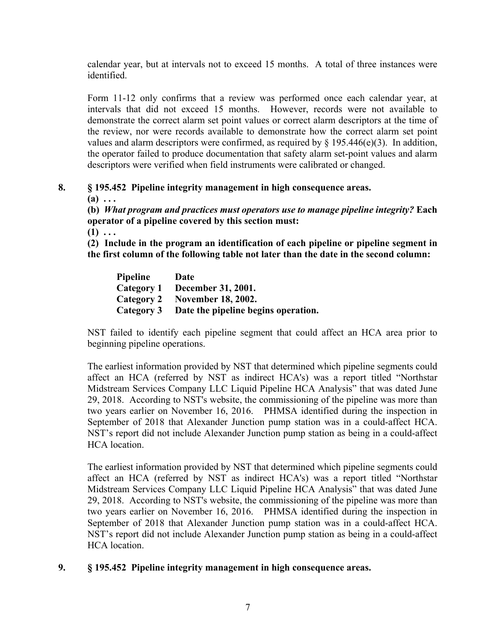calendar year, but at intervals not to exceed 15 months. A total of three instances were identified.

Form 11-12 only confirms that a review was performed once each calendar year, at intervals that did not exceed 15 months. However, records were not available to demonstrate the correct alarm set point values or correct alarm descriptors at the time of the review, nor were records available to demonstrate how the correct alarm set point values and alarm descriptors were confirmed, as required by  $\S$  195.446(e)(3). In addition, the operator failed to produce documentation that safety alarm set-point values and alarm descriptors were verified when field instruments were calibrated or changed.

## **8. § 195.452 Pipeline integrity management in high consequence areas.**

**(a) . . .** 

**(b)** *What program and practices must operators use to manage pipeline integrity?* **Each operator of a pipeline covered by this section must:** 

 $(1)$  ...

**(2) Include in the program an identification of each pipeline or pipeline segment in the first column of the following table not later than the date in the second column:** 

**Pipeline Date Category 1 December 31, 2001. Category 2 November 18, 2002. Category 3 Date the pipeline begins operation.** 

NST failed to identify each pipeline segment that could affect an HCA area prior to beginning pipeline operations.

The earliest information provided by NST that determined which pipeline segments could affect an HCA (referred by NST as indirect HCA's) was a report titled "Northstar Midstream Services Company LLC Liquid Pipeline HCA Analysis" that was dated June 29, 2018. According to NST's website, the commissioning of the pipeline was more than two years earlier on November 16, 2016. PHMSA identified during the inspection in September of 2018 that Alexander Junction pump station was in a could-affect HCA. NST's report did not include Alexander Junction pump station as being in a could-affect HCA location.

The earliest information provided by NST that determined which pipeline segments could affect an HCA (referred by NST as indirect HCA's) was a report titled "Northstar Midstream Services Company LLC Liquid Pipeline HCA Analysis" that was dated June 29, 2018. According to NST's website, the commissioning of the pipeline was more than two years earlier on November 16, 2016. PHMSA identified during the inspection in September of 2018 that Alexander Junction pump station was in a could-affect HCA. NST's report did not include Alexander Junction pump station as being in a could-affect HCA location.

## **9. § 195.452 Pipeline integrity management in high consequence areas.**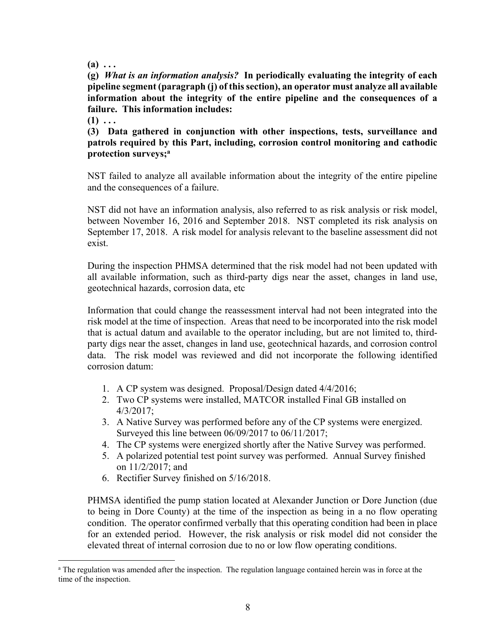**(a) . . .** 

**(g)** *What is an information analysis?* **In periodically evaluating the integrity of each pipeline segment (paragraph (j) of this section), an operator must analyze all available information about the integrity of the entire pipeline and the consequences of a failure. This information includes:** 

 $(1) \ldots$ 

 $\overline{a}$ 

**(3) Data gathered in conjunction with other inspections, tests, surveillance and patrols required by this Part, including, corrosion control monitoring and cathodic protection surveys;a** 

NST failed to analyze all available information about the integrity of the entire pipeline and the consequences of a failure.

NST did not have an information analysis, also referred to as risk analysis or risk model, between November 16, 2016 and September 2018. NST completed its risk analysis on September 17, 2018. A risk model for analysis relevant to the baseline assessment did not exist.

During the inspection PHMSA determined that the risk model had not been updated with all available information, such as third-party digs near the asset, changes in land use, geotechnical hazards, corrosion data, etc

Information that could change the reassessment interval had not been integrated into the risk model at the time of inspection. Areas that need to be incorporated into the risk model that is actual datum and available to the operator including, but are not limited to, thirdparty digs near the asset, changes in land use, geotechnical hazards, and corrosion control data. The risk model was reviewed and did not incorporate the following identified corrosion datum:

- 1. A CP system was designed. Proposal/Design dated 4/4/2016;
- 2. Two CP systems were installed, MATCOR installed Final GB installed on 4/3/2017;
- 3. A Native Survey was performed before any of the CP systems were energized. Surveyed this line between 06/09/2017 to 06/11/2017;
- 4. The CP systems were energized shortly after the Native Survey was performed.
- 5. A polarized potential test point survey was performed. Annual Survey finished on 11/2/2017; and
- 6. Rectifier Survey finished on 5/16/2018.

PHMSA identified the pump station located at Alexander Junction or Dore Junction (due to being in Dore County) at the time of the inspection as being in a no flow operating condition. The operator confirmed verbally that this operating condition had been in place for an extended period. However, the risk analysis or risk model did not consider the elevated threat of internal corrosion due to no or low flow operating conditions.

<sup>&</sup>lt;sup>a</sup> The regulation was amended after the inspection. The regulation language contained herein was in force at the time of the inspection.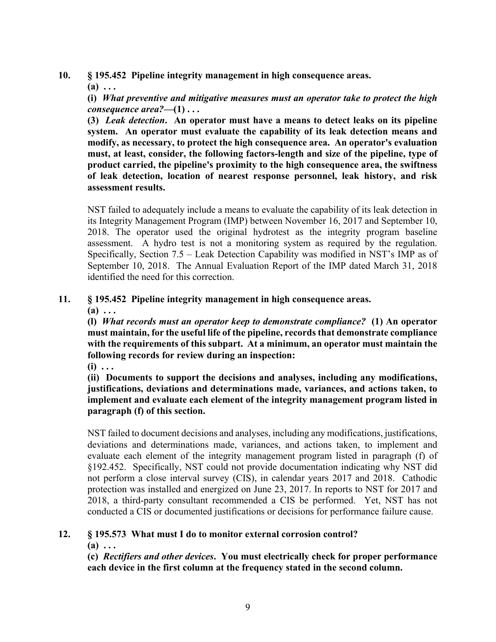**10. § 195.452 Pipeline integrity management in high consequence areas.** 

**(a) . . .** 

**(i)** *What preventive and mitigative measures must an operator take to protect the high consequence area?***—(1) . . .** 

**(3)** *Leak detection***. An operator must have a means to detect leaks on its pipeline system. An operator must evaluate the capability of its leak detection means and modify, as necessary, to protect the high consequence area. An operator's evaluation must, at least, consider, the following factors-length and size of the pipeline, type of product carried, the pipeline's proximity to the high consequence area, the swiftness of leak detection, location of nearest response personnel, leak history, and risk assessment results.** 

NST failed to adequately include a means to evaluate the capability of its leak detection in its Integrity Management Program (IMP) between November 16, 2017 and September 10, 2018. The operator used the original hydrotest as the integrity program baseline assessment. A hydro test is not a monitoring system as required by the regulation. Specifically, Section 7.5 – Leak Detection Capability was modified in NST's IMP as of September 10, 2018. The Annual Evaluation Report of the IMP dated March 31, 2018 identified the need for this correction.

## **11. § 195.452 Pipeline integrity management in high consequence areas.**

**(a) . . .** 

**(l)** *What records must an operator keep to demonstrate compliance?* **(1) An operator must maintain, for the useful life of the pipeline, records that demonstrate compliance with the requirements of this subpart. At a minimum, an operator must maintain the following records for review during an inspection:** 

**(i) . . .** 

**(ii) Documents to support the decisions and analyses, including any modifications, justifications, deviations and determinations made, variances, and actions taken, to implement and evaluate each element of the integrity management program listed in paragraph (f) of this section.** 

NST failed to document decisions and analyses, including any modifications, justifications, deviations and determinations made, variances, and actions taken, to implement and evaluate each element of the integrity management program listed in paragraph (f) of §192.452. Specifically, NST could not provide documentation indicating why NST did not perform a close interval survey (CIS), in calendar years 2017 and 2018. Cathodic protection was installed and energized on June 23, 2017. In reports to NST for 2017 and 2018, a third-party consultant recommended a CIS be performed. Yet, NST has not conducted a CIS or documented justifications or decisions for performance failure cause.

## **12. § 195.573 What must I do to monitor external corrosion control?**

**(a) . . .** 

**(c)** *Rectifiers and other devices***. You must electrically check for proper performance each device in the first column at the frequency stated in the second column.**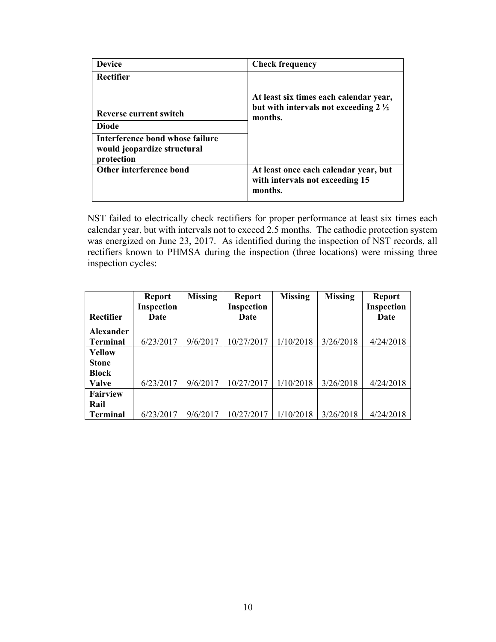| <b>Device</b>                                                                | <b>Check frequency</b>                                                                    |  |  |
|------------------------------------------------------------------------------|-------------------------------------------------------------------------------------------|--|--|
| Rectifier                                                                    |                                                                                           |  |  |
|                                                                              | At least six times each calendar year,<br>but with intervals not exceeding $2\frac{1}{2}$ |  |  |
| <b>Reverse current switch</b>                                                | months.                                                                                   |  |  |
| <b>Diode</b>                                                                 |                                                                                           |  |  |
| Interference bond whose failure<br>would jeopardize structural<br>protection |                                                                                           |  |  |
| Other interference bond                                                      | At least once each calendar year, but<br>with intervals not exceeding 15<br>months.       |  |  |

NST failed to electrically check rectifiers for proper performance at least six times each calendar year, but with intervals not to exceed 2.5 months. The cathodic protection system was energized on June 23, 2017. As identified during the inspection of NST records, all rectifiers known to PHMSA during the inspection (three locations) were missing three inspection cycles:

|                  | <b>Report</b>     | <b>Missing</b> | <b>Report</b> | <b>Missing</b> | <b>Missing</b> | <b>Report</b> |
|------------------|-------------------|----------------|---------------|----------------|----------------|---------------|
|                  | <b>Inspection</b> |                | Inspection    |                |                | Inspection    |
| Rectifier        | Date              |                | Date          |                |                | Date          |
| <b>Alexander</b> |                   |                |               |                |                |               |
| <b>Terminal</b>  | 6/23/2017         | 9/6/2017       | 10/27/2017    | 1/10/2018      | 3/26/2018      | 4/24/2018     |
| Yellow           |                   |                |               |                |                |               |
| <b>Stone</b>     |                   |                |               |                |                |               |
| <b>Block</b>     |                   |                |               |                |                |               |
| Valve            | 6/23/2017         | 9/6/2017       | 10/27/2017    | 1/10/2018      | 3/26/2018      | 4/24/2018     |
| <b>Fairview</b>  |                   |                |               |                |                |               |
| Rail             |                   |                |               |                |                |               |
| <b>Terminal</b>  | 6/23/2017         | 9/6/2017       | 10/27/2017    | 1/10/2018      | 3/26/2018      | 4/24/2018     |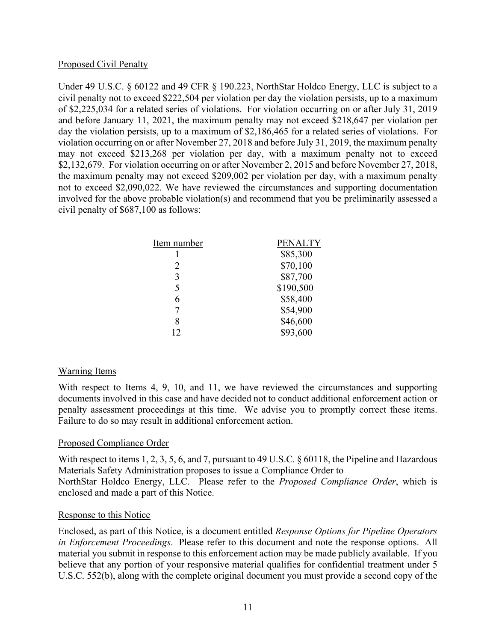#### Proposed Civil Penalty

Under 49 U.S.C. § 60122 and 49 CFR § 190.223, NorthStar Holdco Energy, LLC is subject to a civil penalty not to exceed \$222,504 per violation per day the violation persists, up to a maximum of \$2,225,034 for a related series of violations. For violation occurring on or after July 31, 2019 and before January 11, 2021, the maximum penalty may not exceed \$218,647 per violation per day the violation persists, up to a maximum of \$2,186,465 for a related series of violations. For violation occurring on or after November 27, 2018 and before July 31, 2019, the maximum penalty may not exceed \$213,268 per violation per day, with a maximum penalty not to exceed \$2,132,679. For violation occurring on or after November 2, 2015 and before November 27, 2018, the maximum penalty may not exceed \$209,002 per violation per day, with a maximum penalty not to exceed \$2,090,022. We have reviewed the circumstances and supporting documentation involved for the above probable violation(s) and recommend that you be preliminarily assessed a civil penalty of \$687,100 as follows:

| <b>PENALTY</b> |
|----------------|
| \$85,300       |
| \$70,100       |
| \$87,700       |
| \$190,500      |
| \$58,400       |
| \$54,900       |
| \$46,600       |
| \$93,600       |
|                |

## Warning Items

With respect to Items 4, 9, 10, and 11, we have reviewed the circumstances and supporting documents involved in this case and have decided not to conduct additional enforcement action or penalty assessment proceedings at this time. We advise you to promptly correct these items. Failure to do so may result in additional enforcement action.

## Proposed Compliance Order

With respect to items 1, 2, 3, 5, 6, and 7, pursuant to 49 U.S.C. § 60118, the Pipeline and Hazardous Materials Safety Administration proposes to issue a Compliance Order to NorthStar Holdco Energy, LLC. Please refer to the *Proposed Compliance Order*, which is enclosed and made a part of this Notice.

#### Response to this Notice

Enclosed, as part of this Notice, is a document entitled *Response Options for Pipeline Operators in Enforcement Proceedings*. Please refer to this document and note the response options. All material you submit in response to this enforcement action may be made publicly available. If you believe that any portion of your responsive material qualifies for confidential treatment under 5 U.S.C. 552(b), along with the complete original document you must provide a second copy of the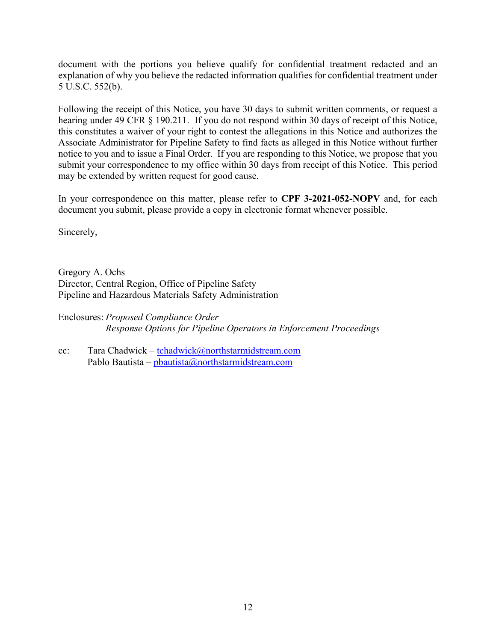document with the portions you believe qualify for confidential treatment redacted and an explanation of why you believe the redacted information qualifies for confidential treatment under 5 U.S.C. 552(b).

Following the receipt of this Notice, you have 30 days to submit written comments, or request a hearing under 49 CFR § 190.211. If you do not respond within 30 days of receipt of this Notice, this constitutes a waiver of your right to contest the allegations in this Notice and authorizes the Associate Administrator for Pipeline Safety to find facts as alleged in this Notice without further notice to you and to issue a Final Order. If you are responding to this Notice, we propose that you submit your correspondence to my office within 30 days from receipt of this Notice. This period may be extended by written request for good cause.

In your correspondence on this matter, please refer to **CPF 3-2021-052-NOPV** and, for each document you submit, please provide a copy in electronic format whenever possible.

Sincerely,

Gregory A. Ochs Director, Central Region, Office of Pipeline Safety Pipeline and Hazardous Materials Safety Administration

Enclosures: *Proposed Compliance Order Response Options for Pipeline Operators in Enforcement Proceedings* 

Tara Chadwick - tchadwick@northstarmidstream.com Pablo Bautista - phautista@northstarmidstream.com cc: Tara Chadwick – <u>[tchadwick@northstarmidstream.com](mailto:tchadwick@northstarmidstream.com)</u><br>Pablo Bautista – <u>[pbautista@northstarmidstream.com](mailto:pbautista@northstarmidstream.com)</u><br>12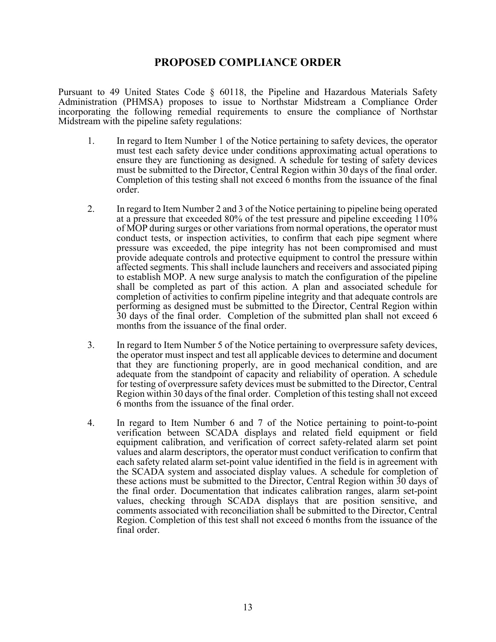## **PROPOSED COMPLIANCE ORDER**

Pursuant to 49 United States Code § 60118, the Pipeline and Hazardous Materials Safety Administration (PHMSA) proposes to issue to Northstar Midstream a Compliance Order incorporating the following remedial requirements to ensure the compliance of Northstar Midstream with the pipeline safety regulations:

- must be submitted to the Director, Central Region within 30 days of the final order. 1. In regard to Item Number 1 of the Notice pertaining to safety devices, the operator must test each safety device under conditions approximating actual operations to ensure they are functioning as designed. A schedule for testing of safety devices Completion of this testing shall not exceed 6 months from the issuance of the final order.
- 2. In regard to Item Number 2 and 3 of the Notice pertaining to pipeline being operated at a pressure that exceeded 80% of the test pressure and pipeline exceeding 110% of MOP during surges or other variations from normal operations, the operator must conduct tests, or inspection activities, to confirm that each pipe segment where pressure was exceeded, the pipe integrity has not been compromised and must provide adequate controls and protective equipment to control the pressure within affected segments. This shall include launchers and receivers and associated piping to establish MOP. A new surge analysis to match the configuration of the pipeline shall be completed as part of this action. A plan and associated schedule for completion of activities to confirm pipeline integrity and that adequate controls are performing as designed must be submitted to the Director, Central Region within 30 days of the final order. Completion of the submitted plan shall not exceed 6 months from the issuance of the final order.
- 3. In regard to Item Number 5 of the Notice pertaining to overpressure safety devices, the operator must inspect and test all applicable devices to determine and document that they are functioning properly, are in good mechanical condition, and are adequate from the standpoint of capacity and reliability of operation. A schedule for testing of overpressure safety devices must be submitted to the Director, Central Region within 30 days of the final order. Completion of this testing shall not exceed 6 months from the issuance of the final order.
- 4. In regard to Item Number 6 and 7 of the Notice pertaining to point-to-point verification between SCADA displays and related field equipment or field equipment calibration, and verification of correct safety-related alarm set point values and alarm descriptors, the operator must conduct verification to confirm that each safety related alarm set-point value identified in the field is in agreement with the SCADA system and associated display values. A schedule for completion of these actions must be submitted to the Director, Central Region within 30 days of the final order. Documentation that indicates calibration ranges, alarm set-point values, checking through SCADA displays that are position sensitive, and comments associated with reconciliation shall be submitted to the Director, Central Region. Completion of this test shall not exceed 6 months from the issuance of the final order.